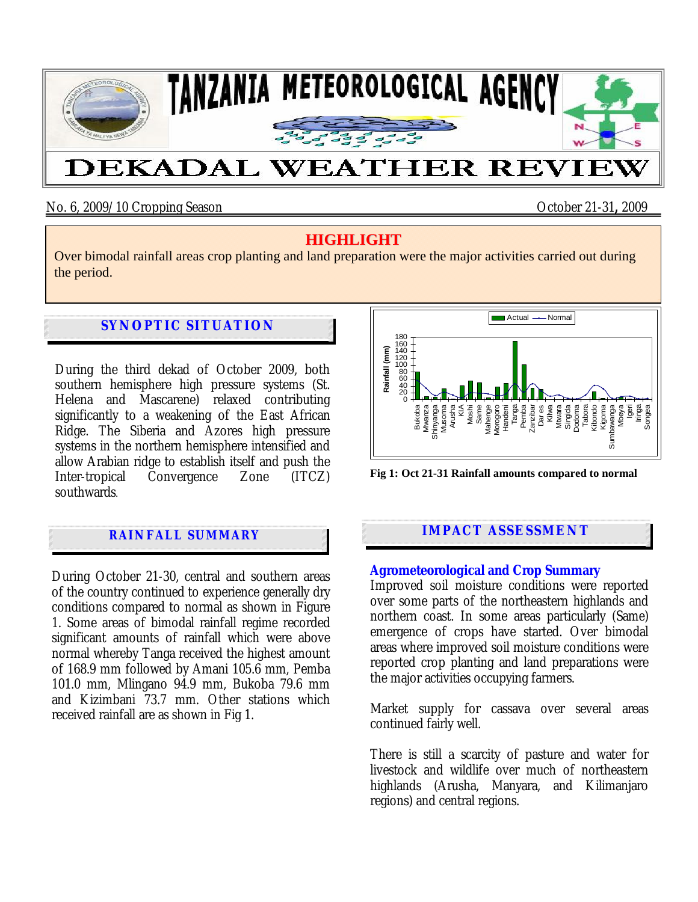

# No. 6, 2009/10 Cropping Season October 21-31**,** 2009

# **HIGHLIGHT**

Over bimodal rainfall areas crop planting and land preparation were the major activities carried out during the period.

# **SYNOPTIC SITUATION**

During the third dekad of October 2009, both southern hemisphere high pressure systems (St. Helena and Mascarene) relaxed contributing significantly to a weakening of the East African Ridge. The Siberia and Azores high pressure systems in the northern hemisphere intensified and allow Arabian ridge to establish itself and push the Inter-tropical Convergence Zone (ITCZ) southwards.

# **RAINFALL SUMMARY**

During October 21-30, central and southern areas of the country continued to experience generally dry conditions compared to normal as shown in Figure 1. Some areas of bimodal rainfall regime recorded significant amounts of rainfall which were above normal whereby Tanga received the highest amount of 168.9 mm followed by Amani 105.6 mm, Pemba 101.0 mm, Mlingano 94.9 mm, Bukoba 79.6 mm and Kizimbani 73.7 mm. Other stations which received rainfall are as shown in Fig 1.



**Fig 1: Oct 21-31 Rainfall amounts compared to normal**

## **IMPACT ASSESSMENT**

#### **Agrometeorological and Crop Summary**

Improved soil moisture conditions were reported over some parts of the northeastern highlands and northern coast. In some areas particularly (Same) emergence of crops have started. Over bimodal areas where improved soil moisture conditions were reported crop planting and land preparations were the major activities occupying farmers.

Market supply for cassava over several areas continued fairly well.

There is still a scarcity of pasture and water for livestock and wildlife over much of northeastern highlands (Arusha, Manyara, and Kilimanjaro regions) and central regions.